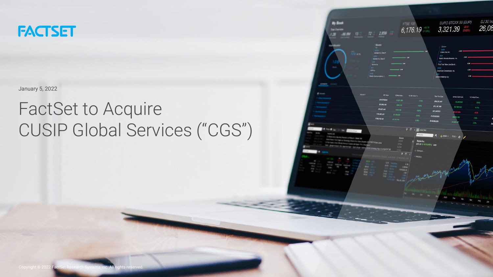

January 5, 2022

# FactSet to Acquire CUSIP Global Services ("CGS")

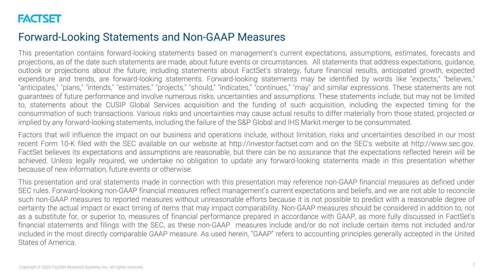### Forward-Looking Statements and Non-GAAP Measures

This presentation contains forward-looking statements based on management's current expectations, assumptions, estimates, forecasts and projections, as of the date such statements are made, about future events or circumstances. All statements that address expectations, guidance, outlook or projections about the future, including statements about FactSet's strategy, future financial results, anticipated growth, expected expenditure and trends, are forward-looking statements. Forward-looking statements may be identified by words like "expects," "believes," "anticipates," "plans," "intends," "estimates," "projects," "should," "indicates," "continues," "may" and similar expressions. These statements are not guarantees of future performance and involve numerous risks, uncertainties and assumptions. These statements include, but may not be limited to, statements about the CUSIP Global Services acquisition and the funding of such acquisition, including the expected timing for the consummation of such transactions. Various risks and uncertainties may cause actual results to differ materially from those stated, projected or implied by any forward-looking statements, including the failure of the S&P Global and IHS Markit merger to be consummated.

Factors that will influence the impact on our business and operations include, without limitation, risks and uncertainties described in our most recent Form 10-K filed with the SEC available on our website at http://investor.factset.com and on the SEC's website at http://www.sec.gov. FactSet believes its expectations and assumptions are reasonable, but there can be no assurance that the expectations reflected herein will be achieved. Unless legally required, we undertake no obligation to update any forward-looking statements made in this presentation whether because of new information, future events or otherwise.

This presentation and oral statements made in connection with this presentation may reference non-GAAP financial measures as defined under SEC rules. Forward-looking non-GAAP financial measures reflect management's current expectations and beliefs, and we are not able to reconcile such non-GAAP measures to reported measures without unreasonable efforts because it is not possible to predict with a reasonable degree of certainty the actual impact or exact timing of items that may impact comparability. Non-GAAP measures should be considered in addition to, not as a substitute for, or superior to, measures of financial performance prepared in accordance with GAAP, as more fully discussed in FactSet's financial statements and filings with the SEC, as these non-GAAP measures include and/or do not include certain items not included and/or included in the most directly comparable GAAP measure. As used herein, "GAAP" refers to accounting principles generally accepted in the United States of America.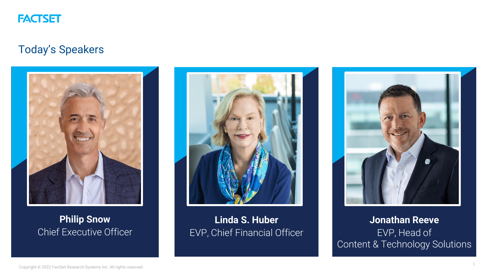

### Today's Speakers



### **Philip Snow** Chief Executive Officer



**Linda S. Huber** EVP, Chief Financial Officer



**Jonathan Reeve** EVP, Head of Content & Technology Solutions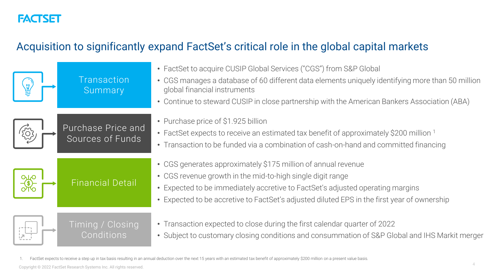# Acquisition to significantly expand FactSet's critical role in the global capital markets

| Transaction<br>Summary                 | • FactSet to acquire CUSIP Global Services ("CGS") from S&P Global<br>• CGS manages a database of 60 different data elements uniquely identifying more than 50 million<br>global financial instruments<br>• Continue to steward CUSIP in close partnership with the American Bankers Association (ABA)       |
|----------------------------------------|--------------------------------------------------------------------------------------------------------------------------------------------------------------------------------------------------------------------------------------------------------------------------------------------------------------|
| Purchase Price and<br>Sources of Funds | • Purchase price of \$1.925 billion<br>• FactSet expects to receive an estimated tax benefit of approximately \$200 million 1<br>• Transaction to be funded via a combination of cash-on-hand and committed financing                                                                                        |
| <b>Financial Detail</b>                | • CGS generates approximately \$175 million of annual revenue<br>• CGS revenue growth in the mid-to-high single digit range<br>• Expected to be immediately accretive to FactSet's adjusted operating margins<br>• Expected to be accretive to FactSet's adjusted diluted EPS in the first year of ownership |
| Timing / Closing<br>Conditions         | • Transaction expected to close during the first calendar quarter of 2022<br>• Subject to customary closing conditions and consummation of S&P Global and IHS Markit merger                                                                                                                                  |

1. FactSet expects to receive a step up in tax basis resulting in an annual deduction over the next 15 years with an estimated tax benefit of approximately \$200 million on a present value basis.

Copyright © 2022 FactSet Research Systems Inc. All rights reserved.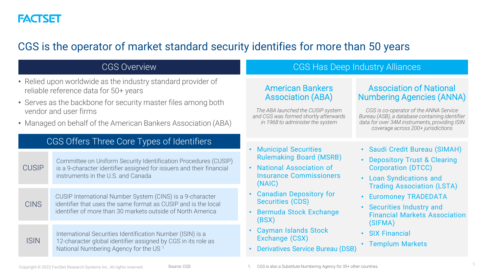

### CGS is the operator of market standard security identifies for more than 50 years

| <b>CGS Overview</b>                                                                                                                                                                                                                                              |                                                                                                                                                                                            | CGS Has Deep Industry Alliances                                                                                                                                       |                                                                                                                                                                                                                                                       |
|------------------------------------------------------------------------------------------------------------------------------------------------------------------------------------------------------------------------------------------------------------------|--------------------------------------------------------------------------------------------------------------------------------------------------------------------------------------------|-----------------------------------------------------------------------------------------------------------------------------------------------------------------------|-------------------------------------------------------------------------------------------------------------------------------------------------------------------------------------------------------------------------------------------------------|
| • Relied upon worldwide as the industry standard provider of<br>reliable reference data for 50+ years<br>• Serves as the backbone for security master files among both<br>vendor and user firms<br>• Managed on behalf of the American Bankers Association (ABA) |                                                                                                                                                                                            | <b>American Bankers</b><br><b>Association (ABA)</b><br>The ABA launched the CUSIP system<br>and CGS was formed shortly afterwards<br>in 1968 to administer the system | <b>Association of National</b><br><b>Numbering Agencies (ANNA)</b><br>CGS is co-operator of the ANNA Service<br>Bureau (ASB), a database containing identifier<br>data for over 34M instruments, providing ISIN<br>coverage across 200+ jurisdictions |
|                                                                                                                                                                                                                                                                  | CGS Offers Three Core Types of Identifiers                                                                                                                                                 | <b>Municipal Securities</b>                                                                                                                                           | • Saudi Credit Bureau (SIMAH)                                                                                                                                                                                                                         |
| <b>CUSIP</b>                                                                                                                                                                                                                                                     | Committee on Uniform Security Identification Procedures (CUSIP)<br>is a 9-character identifier assigned for issuers and their financial<br>instruments in the U.S. and Canada              | <b>Rulemaking Board (MSRB)</b><br>• National Association of<br><b>Insurance Commissioners</b><br>(NAIC)                                                               | • Depository Trust & Clearing<br><b>Corporation (DTCC)</b><br>• Loan Syndications and<br><b>Trading Association (LSTA)</b>                                                                                                                            |
| <b>CINS</b>                                                                                                                                                                                                                                                      | CUSIP International Number System (CINS) is a 9-character<br>identifier that uses the same format as CUSIP and is the local<br>identifier of more than 30 markets outside of North America | <b>Canadian Depository for</b><br><b>Securities (CDS)</b><br><b>Bermuda Stock Exchange</b><br>(BSX)                                                                   | • Euromoney TRADEDATA<br>• Securities Industry and<br><b>Financial Markets Association</b><br>(SIFMA)<br>• SIX Financial<br>• Templum Markets                                                                                                         |
| <b>ISIN</b>                                                                                                                                                                                                                                                      | International Securities Identification Number (ISIN) is a<br>12-character global identifier assigned by CGS in its role as<br>National Numbering Agency for the US <sup>1</sup>           | <b>Cayman Islands Stock</b><br>Exchange (CSX)<br><b>Derivatives Service Bureau (DSB)</b>                                                                              |                                                                                                                                                                                                                                                       |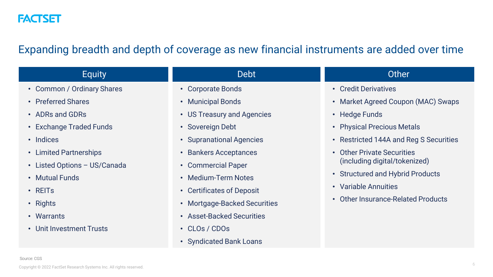

### Expanding breadth and depth of coverage as new financial instruments are added over time

| <b>Equity</b>                | <b>Debt</b>                  | Other                                        |
|------------------------------|------------------------------|----------------------------------------------|
| • Common / Ordinary Shares   | • Corporate Bonds            | • Credit Derivatives                         |
| • Preferred Shares           | • Municipal Bonds            | • Market Agreed Coupon (MAC) Swaps           |
| • ADRs and GDRs              | • US Treasury and Agencies   | • Hedge Funds                                |
| • Exchange Traded Funds      | • Sovereign Debt             | • Physical Precious Metals                   |
| • Indices                    | • Supranational Agencies     | • Restricted 144A and Reg S Securities       |
| • Limited Partnerships       | • Bankers Acceptances        | <b>Other Private Securities</b><br>$\bullet$ |
| • Listed Options - US/Canada | • Commercial Paper           | (including digital/tokenized)                |
| • Mutual Funds               | • Medium-Term Notes          | • Structured and Hybrid Products             |
| $\cdot$ REITs                | • Certificates of Deposit    | • Variable Annuities                         |
| • Rights                     | • Mortgage-Backed Securities | • Other Insurance-Related Products           |
| • Warrants                   | • Asset-Backed Securities    |                                              |
| • Unit Investment Trusts     | • CLOs / CDOs                |                                              |
|                              | • Syndicated Bank Loans      |                                              |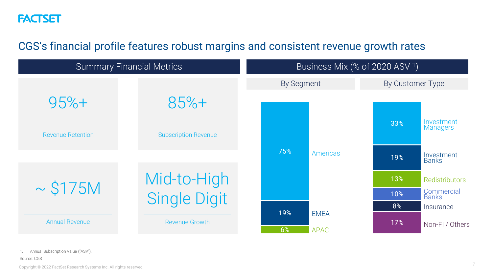### CGS's financial profile features robust margins and consistent revenue growth rates



Annual Subscription Value ("ASV").

Copyright © 2022 FactSet Research Systems Inc. All rights reserved.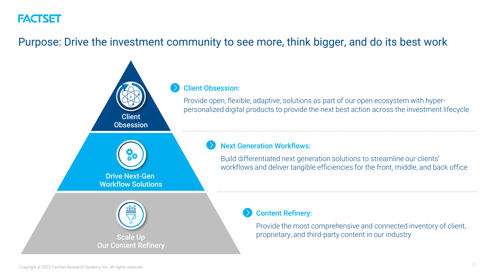### Purpose: Drive the investment community to see more, think bigger, and do its best work

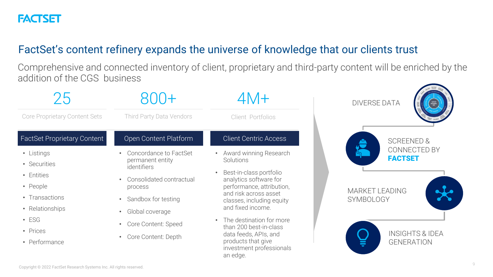### FactSet's content refinery expands the universe of knowledge that our clients trust

Comprehensive and connected inventory of client, proprietary and third-party content will be enriched by the addition of the CGS business

| ノり                                                                                                                                    |                                                                                                                                                                                                                           | $4M +$                                                                                                                                                                                                                                                                                                                                        | <b>DIVERSE DATA</b>                                                                                                            |
|---------------------------------------------------------------------------------------------------------------------------------------|---------------------------------------------------------------------------------------------------------------------------------------------------------------------------------------------------------------------------|-----------------------------------------------------------------------------------------------------------------------------------------------------------------------------------------------------------------------------------------------------------------------------------------------------------------------------------------------|--------------------------------------------------------------------------------------------------------------------------------|
| Core Proprietary Content Sets                                                                                                         | Third Party Data Vendors                                                                                                                                                                                                  | Client Portfolios                                                                                                                                                                                                                                                                                                                             |                                                                                                                                |
| <b>FactSet Proprietary Content</b>                                                                                                    | Open Content Platform                                                                                                                                                                                                     | <b>Client Centric Access</b>                                                                                                                                                                                                                                                                                                                  | <b>SCREENED &amp;</b>                                                                                                          |
| • Listings<br>• Securities<br>• Entities<br>• People<br>• Transactions<br>• Relationships<br>$\cdot$ ESG<br>• Prices<br>• Performance | Concordance to FactSet<br>permanent entity<br><i>identifiers</i><br>Consolidated contractual<br>process<br>Sandbox for testing<br>Global coverage<br>$\bullet$<br>Core Content: Speed<br>Core Content: Depth<br>$\bullet$ | Award winning Research<br>Solutions<br>Best-in-class portfolio<br>analytics software for<br>performance, attribution,<br>and risk across asset<br>classes, including equity<br>and fixed income.<br>The destination for more<br>than 200 best-in-class<br>data feeds, APIs, and<br>products that give<br>investment professionals<br>an edge. | CONNECTED BY<br><b>FACTSET</b><br><b>MARKET LEADING</b><br><b>SYMBOLOGY</b><br><b>INSIGHTS &amp; IDEA</b><br><b>GENERATION</b> |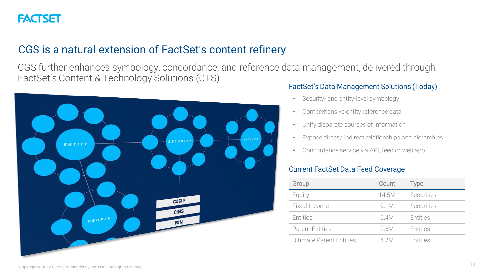## CGS is a natural extension of FactSet's content refinery

CGS further enhances symbology, concordance, and reference data management, delivered through FactSet's Content & Technology Solutions (CTS)



#### FactSet's Data Management Solutions (Today)

- Security- and entity-level symbology
- Comprehensive entity reference data
- Unify disparate sources of information
- Expose direct / indirect relationships and hierarchies
- Concordance service via API, feed or web app

#### Current FactSet Data Feed Coverage

| Group                    | Count | <b>Type</b> |
|--------------------------|-------|-------------|
| Equity                   | 14.5M | Securities  |
| Fixed Income             | 9 1 M | Securities  |
| Entities                 | 6.4M  | Entities    |
| <b>Parent Entities</b>   | 0.6M  | Entities    |
| Ultimate Parent Entities | 4 2 M | Entities    |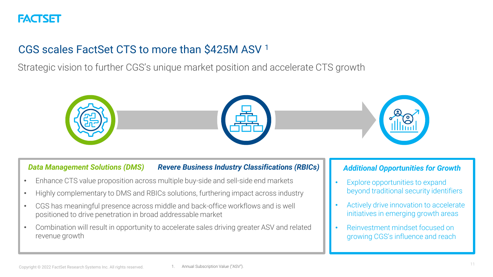# CGS scales FactSet CTS to more than \$425M ASV <sup>1</sup>

Strategic vision to further CGS's unique market position and accelerate CTS growth



#### *Data Management Solutions (DMS) Revere Business Industry Classifications (RBICs)*

- Enhance CTS value proposition across multiple buy-side and sell-side end markets
- Highly complementary to DMS and RBICs solutions, furthering impact across industry
- CGS has meaningful presence across middle and back-office workflows and is well positioned to drive penetration in broad addressable market
- Combination will result in opportunity to accelerate sales driving greater ASV and related revenue growth

#### *Additional Opportunities for Growth*

- Explore opportunities to expand beyond traditional security identifiers
- Actively drive innovation to accelerate initiatives in emerging growth areas
- Reinvestment mindset focused on growing CGS's influence and reach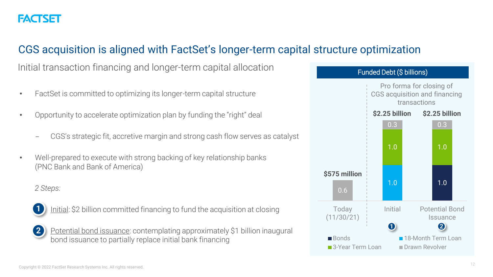### CGS acquisition is aligned with FactSet's longer-term capital structure optimization

Initial transaction financing and longer-term capital allocation

- FactSet is committed to optimizing its longer-term capital structure
- Opportunity to accelerate optimization plan by funding the "right" deal
	- CGS's strategic fit, accretive margin and strong cash flow serves as catalyst
- Well-prepared to execute with strong backing of key relationship banks (PNC Bank and Bank of America)

#### *2 Steps:*



Initial: \$2 billion committed financing to fund the acquisition at closing



Potential bond issuance: contemplating approximately \$1 billion inaugural bond issuance to partially replace initial bank financing

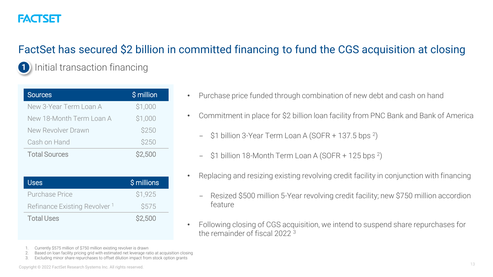# FACTSFI

**1**

# FactSet has secured \$2 billion in committed financing to fund the CGS acquisition at closing

Initial transaction financing

| <b>Sources</b>           | \$ million    |
|--------------------------|---------------|
| New 3-Year Term Loan A   | \$1,000       |
| New 18-Month Term Loan A | \$1,000       |
| New Revolver Drawn       | \$250         |
| Cash on Hand             | \$250         |
| <b>Total Sources</b>     | <b>S2,500</b> |

| Uses                                     | \$ millions   |
|------------------------------------------|---------------|
| Purchase Price                           | <b>S1.925</b> |
| Refinance Existing Revolver <sup>1</sup> | <b>S575</b>   |
| <b>Total Uses</b>                        | \$2,500       |

- Purchase price funded through combination of new debt and cash on hand
- Commitment in place for \$2 billion loan facility from PNC Bank and Bank of America
	- \$1 billion 3-Year Term Loan A (SOFR + 137.5 bps <sup>2</sup>)
	- \$1 billion 18-Month Term Loan A (SOFR + 125 bps <sup>2</sup>)
- Replacing and resizing existing revolving credit facility in conjunction with financing
	- Resized \$500 million 5-Year revolving credit facility; new \$750 million accordion feature
- Following closing of CGS acquisition, we intend to suspend share repurchases for the remainder of fiscal 2022 <sup>3</sup>

- Currently \$575 million of \$750 million existing revolver is drawn
- 2. Based on loan facility pricing grid with estimated net leverage ratio at acquisition closing
- 3. Excluding minor share repurchases to offset dilution impact from stock option grants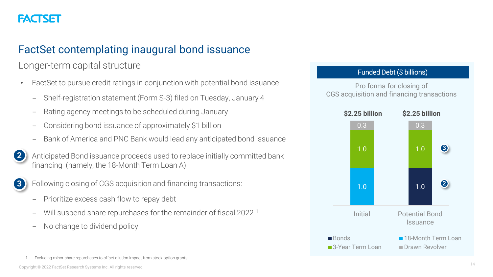### FactSet contemplating inaugural bond issuance

Longer-term capital structure

- FactSet to pursue credit ratings in conjunction with potential bond issuance
	- Shelf-registration statement (Form S-3) filed on Tuesday, January 4
	- Rating agency meetings to be scheduled during January
	- Considering bond issuance of approximately \$1 billion
	- Bank of America and PNC Bank would lead any anticipated bond issuance
- Anticipated Bond issuance proceeds used to replace initially committed bank financing (namely, the 18-Month Term Loan A) **2**



Following closing of CGS acquisition and financing transactions:

- Prioritize excess cash flow to repay debt
- Will suspend share repurchases for the remainder of fiscal 2022<sup>1</sup>
- No change to dividend policy

Funded Debt (\$ billions)

Pro forma for closing of CGS acquisition and financing transactions



Excluding minor share repurchases to offset dilution impact from stock option grants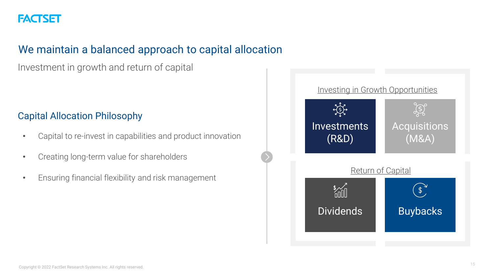

### We maintain a balanced approach to capital allocation

Investment in growth and return of capital

### Capital Allocation Philosophy

- Capital to re-invest in capabilities and product innovation
- Creating long-term value for shareholders
- Ensuring financial flexibility and risk management

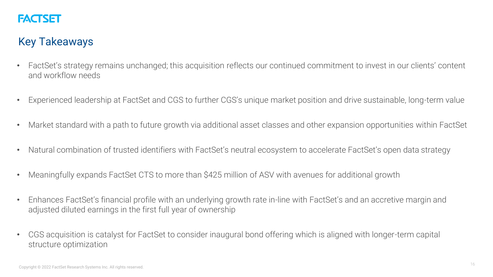

### Key Takeaways

- FactSet's strategy remains unchanged; this acquisition reflects our continued commitment to invest in our clients' content and workflow needs
- Experienced leadership at FactSet and CGS to further CGS's unique market position and drive sustainable, long-term value
- Market standard with a path to future growth via additional asset classes and other expansion opportunities within FactSet
- Natural combination of trusted identifiers with FactSet's neutral ecosystem to accelerate FactSet's open data strategy
- Meaningfully expands FactSet CTS to more than \$425 million of ASV with avenues for additional growth
- Enhances FactSet's financial profile with an underlying growth rate in-line with FactSet's and an accretive margin and adjusted diluted earnings in the first full year of ownership
- CGS acquisition is catalyst for FactSet to consider inaugural bond offering which is aligned with longer-term capital structure optimization